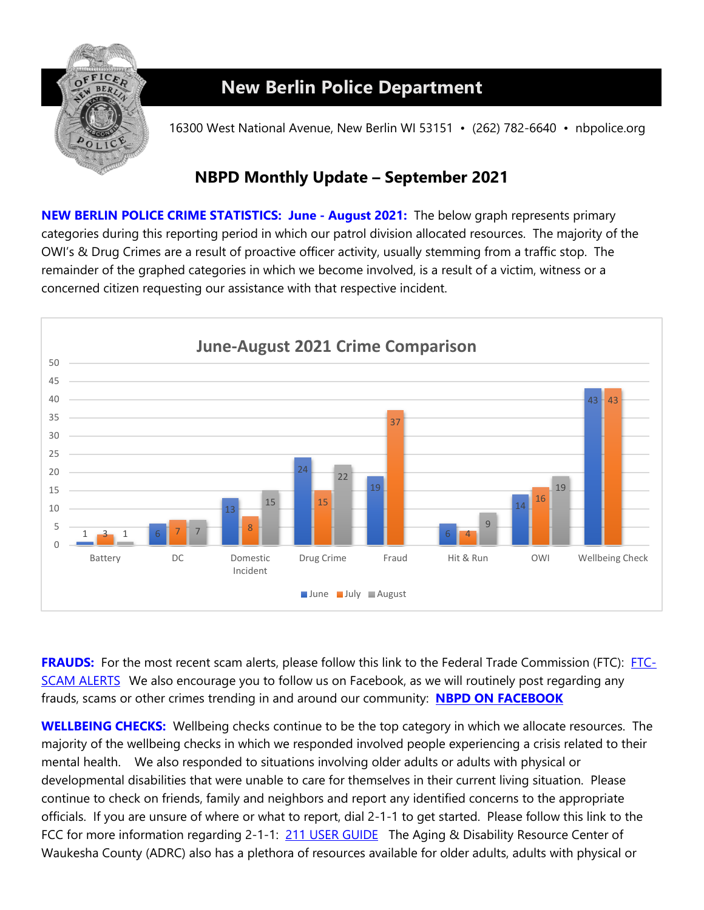

## **New Berlin Police Department**

16300 West National Avenue, New Berlin WI 53151 • (262) 782-6640 • nbpolice.org

## **NBPD Monthly Update – September 2021**

**NEW BERLIN POLICE CRIME STATISTICS: June - August 2021:** The below graph represents primary categories during this reporting period in which our patrol division allocated resources. The majority of the OWI's & Drug Crimes are a result of proactive officer activity, usually stemming from a traffic stop. The remainder of the graphed categories in which we become involved, is a result of a victim, witness or a concerned citizen requesting our assistance with that respective incident.



**FRAUDS:** For the most recent scam alerts, please follow this link to the Federal Trade Commission (FTC): [FTC-](https://www.consumer.ftc.gov/features/scam-alerts)[SCAM ALERTS](https://www.consumer.ftc.gov/features/scam-alerts) We also encourage you to follow us on Facebook, as we will routinely post regarding any frauds, scams or other crimes trending in and around our community: **[NBPD ON FACEBOOK](http://www.facebook.com/pages/New-Berlin-Police-Department/112811588818971)** 

**WELLBEING CHECKS:** Wellbeing checks continue to be the top category in which we allocate resources. The majority of the wellbeing checks in which we responded involved people experiencing a crisis related to their mental health. We also responded to situations involving older adults or adults with physical or developmental disabilities that were unable to care for themselves in their current living situation. Please continue to check on friends, family and neighbors and report any identified concerns to the appropriate officials. If you are unsure of where or what to report, dial 2-1-1 to get started. Please follow this link to the FCC for more information regarding 2-1-1: [211 USER GUIDE](https://www.fcc.gov/consumers/guides/dial-211-essential-community-services) The Aging & Disability Resource Center of Waukesha County (ADRC) also has a plethora of resources available for older adults, adults with physical or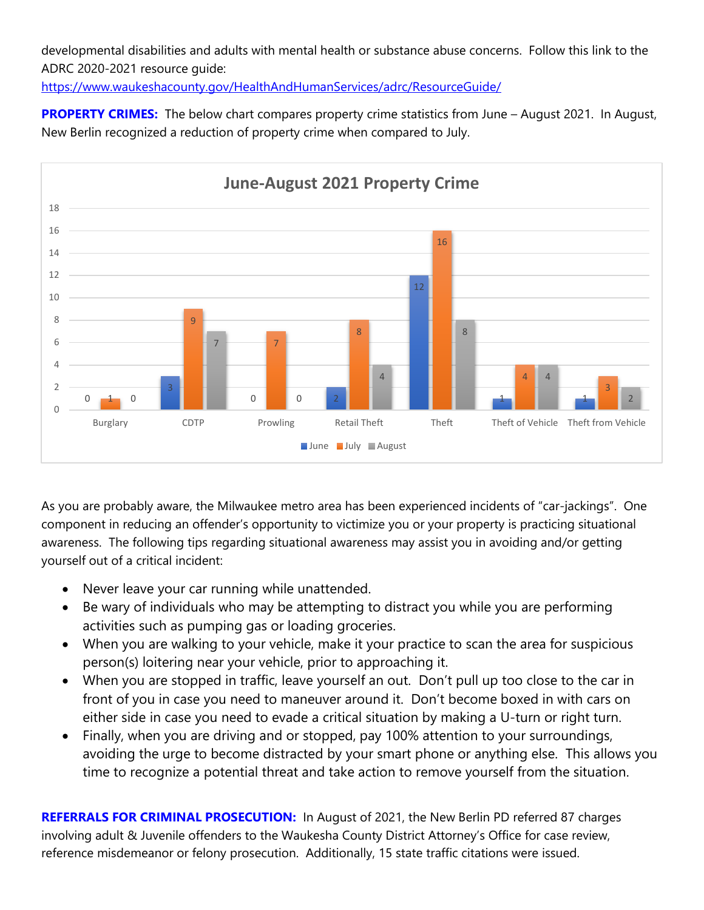developmental disabilities and adults with mental health or substance abuse concerns. Follow this link to the ADRC 2020-2021 resource guide:

<https://www.waukeshacounty.gov/HealthAndHumanServices/adrc/ResourceGuide/>

**PROPERTY CRIMES:** The below chart compares property crime statistics from June – August 2021. In August, New Berlin recognized a reduction of property crime when compared to July.



As you are probably aware, the Milwaukee metro area has been experienced incidents of "car-jackings". One component in reducing an offender's opportunity to victimize you or your property is practicing situational awareness. The following tips regarding situational awareness may assist you in avoiding and/or getting yourself out of a critical incident:

- Never leave your car running while unattended.
- Be wary of individuals who may be attempting to distract you while you are performing activities such as pumping gas or loading groceries.
- When you are walking to your vehicle, make it your practice to scan the area for suspicious person(s) loitering near your vehicle, prior to approaching it.
- When you are stopped in traffic, leave yourself an out. Don't pull up too close to the car in front of you in case you need to maneuver around it. Don't become boxed in with cars on either side in case you need to evade a critical situation by making a U-turn or right turn.
- Finally, when you are driving and or stopped, pay 100% attention to your surroundings, avoiding the urge to become distracted by your smart phone or anything else. This allows you time to recognize a potential threat and take action to remove yourself from the situation.

**REFERRALS FOR CRIMINAL PROSECUTION:** In August of 2021, the New Berlin PD referred 87 charges involving adult & Juvenile offenders to the Waukesha County District Attorney's Office for case review, reference misdemeanor or felony prosecution. Additionally, 15 state traffic citations were issued.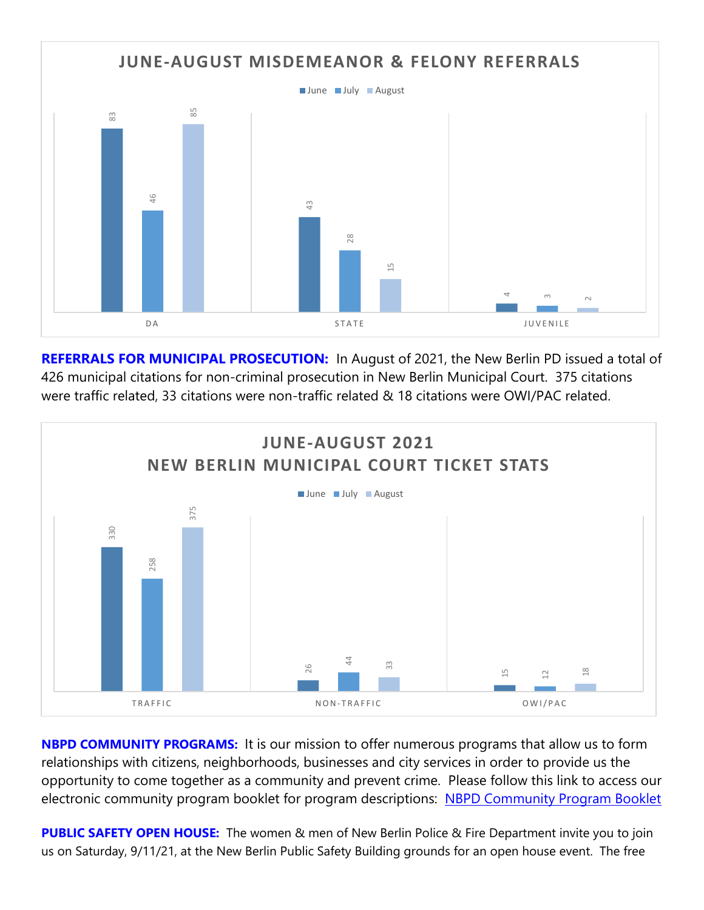

**REFERRALS FOR MUNICIPAL PROSECUTION:** In August of 2021, the New Berlin PD issued a total of 426 municipal citations for non-criminal prosecution in New Berlin Municipal Court. 375 citations were traffic related, 33 citations were non-traffic related & 18 citations were OWI/PAC related.



**NBPD COMMUNITY PROGRAMS:** It is our mission to offer numerous programs that allow us to form relationships with citizens, neighborhoods, businesses and city services in order to provide us the opportunity to come together as a community and prevent crime. Please follow this link to access our electronic community program booklet for program descriptions: [NBPD Community Program Booklet](https://www.newberlin.org/DocumentCenter/View/15824/Community-Program-Booklet?bidId)

**PUBLIC SAFETY OPEN HOUSE:** The women & men of New Berlin Police & Fire Department invite you to join